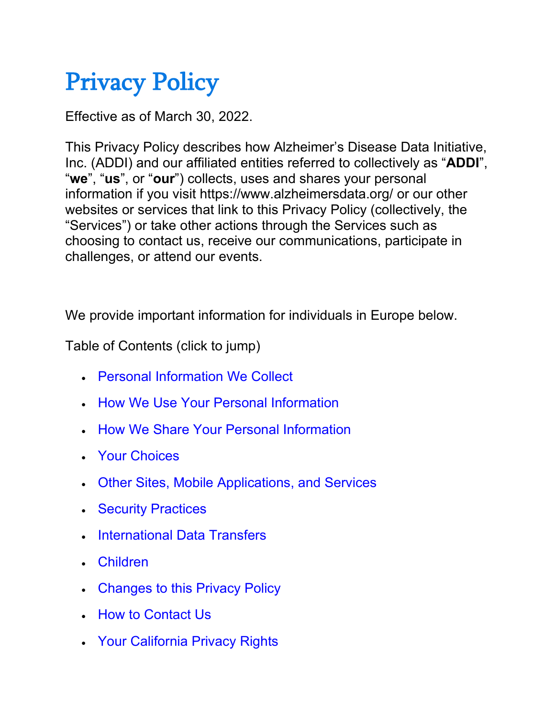# Privacy Policy

Effective as of March 30, 2022.

This Privacy Policy describes how Alzheimer's Disease Data Initiative, Inc. (ADDI) and our affiliated entities referred to collectively as "**ADDI**", "**we**", "**us**", or "**our**") collects, uses and shares your personal information if you visit https://www.alzheimersdata.org/ or our other websites or services that link to this Privacy Policy (collectively, the "Services") or take other actions through the Services such as choosing to contact us, receive our communications, participate in challenges, or attend our events.

We provide important information for individuals in Europe below.

Table of Contents (click to jump)

- [Personal Information We Collect](https://www.alzheimersdata.org/privacy#CollectPersonal)
- [How We Use Your Personal Information](https://www.alzheimersdata.org/privacy#UsePersonal)
- [How We Share Your Personal Information](https://www.alzheimersdata.org/privacy#SharePersonal)
- [Your Choices](https://www.alzheimersdata.org/privacy#YourChoice)
- [Other Sites, Mobile Applications, and Services](https://www.alzheimersdata.org/privacy#OtherSites)
- [Security Practices](https://www.alzheimersdata.org/privacy#Security)
- [International Data Transfers](https://www.alzheimersdata.org/privacy#International)
- [Children](https://www.alzheimersdata.org/privacy#Children)
- [Changes to this Privacy Policy](https://www.alzheimersdata.org/privacy#PrivacyPolicy)
- [How to Contact Us](https://www.alzheimersdata.org/privacy#Contact)
- [Your California Privacy Rights](https://www.alzheimersdata.org/privacy#California)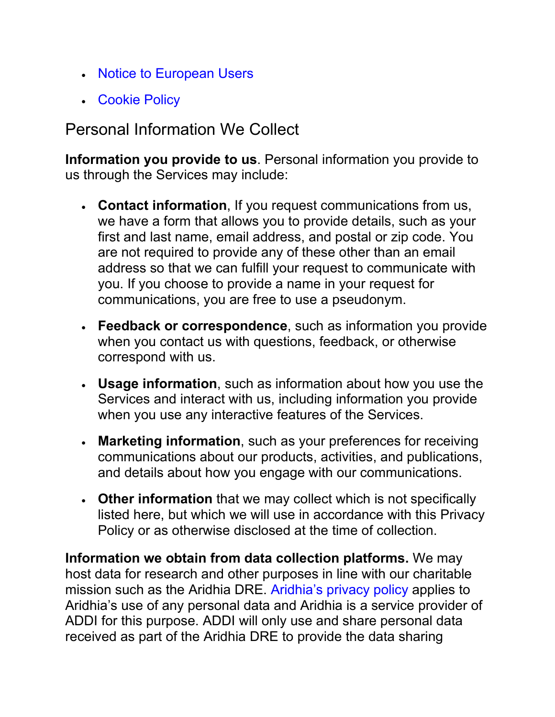- [Notice to European Users](https://www.alzheimersdata.org/privacy#Europe)
- [Cookie Policy](https://www.alzheimersdata.org/privacy#Cookie)

## Personal Information We Collect

**Information you provide to us**. Personal information you provide to us through the Services may include:

- **Contact information**, If you request communications from us, we have a form that allows you to provide details, such as your first and last name, email address, and postal or zip code. You are not required to provide any of these other than an email address so that we can fulfill your request to communicate with you. If you choose to provide a name in your request for communications, you are free to use a pseudonym.
- **Feedback or correspondence**, such as information you provide when you contact us with questions, feedback, or otherwise correspond with us.
- **Usage information**, such as information about how you use the Services and interact with us, including information you provide when you use any interactive features of the Services.
- **Marketing information**, such as your preferences for receiving communications about our products, activities, and publications, and details about how you engage with our communications.
- **Other information** that we may collect which is not specifically listed here, but which we will use in accordance with this Privacy Policy or as otherwise disclosed at the time of collection.

**Information we obtain from data collection platforms.** We may host data for research and other purposes in line with our charitable mission such as the Aridhia DRE. [Aridhia's privacy policy](https://knowledgebase.aridhia.io/article/privacy-policy/) applies to Aridhia's use of any personal data and Aridhia is a service provider of ADDI for this purpose. ADDI will only use and share personal data received as part of the Aridhia DRE to provide the data sharing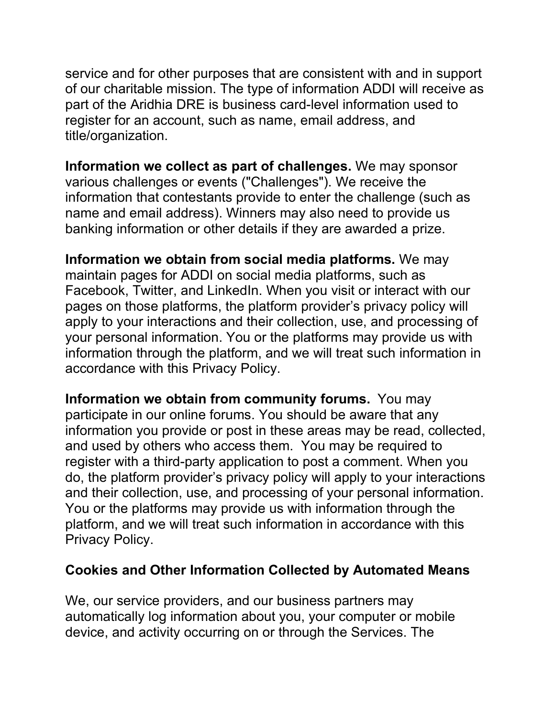service and for other purposes that are consistent with and in support of our charitable mission. The type of information ADDI will receive as part of the Aridhia DRE is business card-level information used to register for an account, such as name, email address, and title/organization.

**Information we collect as part of challenges.** We may sponsor various challenges or events ("Challenges"). We receive the information that contestants provide to enter the challenge (such as name and email address). Winners may also need to provide us banking information or other details if they are awarded a prize.

**Information we obtain from social media platforms.** We may maintain pages for ADDI on social media platforms, such as Facebook, Twitter, and LinkedIn. When you visit or interact with our pages on those platforms, the platform provider's privacy policy will apply to your interactions and their collection, use, and processing of your personal information. You or the platforms may provide us with information through the platform, and we will treat such information in accordance with this Privacy Policy.

**Information we obtain from community forums.** You may participate in our online forums. You should be aware that any information you provide or post in these areas may be read, collected, and used by others who access them. You may be required to register with a third-party application to post a comment. When you do, the platform provider's privacy policy will apply to your interactions and their collection, use, and processing of your personal information. You or the platforms may provide us with information through the platform, and we will treat such information in accordance with this Privacy Policy.

#### **Cookies and Other Information Collected by Automated Means**

We, our service providers, and our business partners may automatically log information about you, your computer or mobile device, and activity occurring on or through the Services. The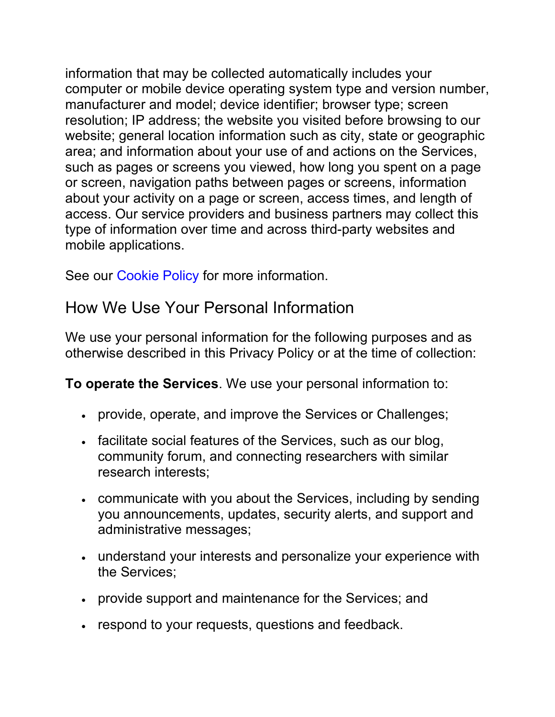information that may be collected automatically includes your computer or mobile device operating system type and version number, manufacturer and model; device identifier; browser type; screen resolution; IP address; the website you visited before browsing to our website; general location information such as city, state or geographic area; and information about your use of and actions on the Services, such as pages or screens you viewed, how long you spent on a page or screen, navigation paths between pages or screens, information about your activity on a page or screen, access times, and length of access. Our service providers and business partners may collect this type of information over time and across third-party websites and mobile applications.

See our [Cookie Policy](https://www.alzheimersdata.org/privacy#Cookie) for more information.

## How We Use Your Personal Information

We use your personal information for the following purposes and as otherwise described in this Privacy Policy or at the time of collection:

**To operate the Services**. We use your personal information to:

- provide, operate, and improve the Services or Challenges;
- facilitate social features of the Services, such as our blog, community forum, and connecting researchers with similar research interests;
- communicate with you about the Services, including by sending you announcements, updates, security alerts, and support and administrative messages;
- understand your interests and personalize your experience with the Services;
- provide support and maintenance for the Services; and
- respond to your requests, questions and feedback.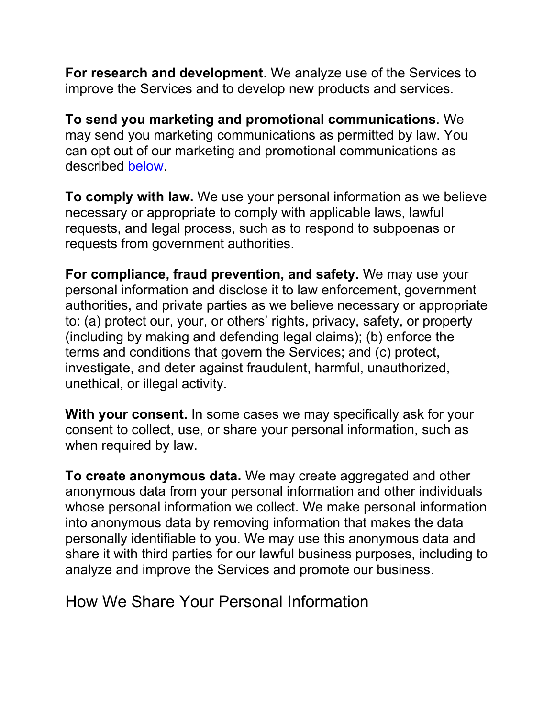**For research and development**. We analyze use of the Services to improve the Services and to develop new products and services.

**To send you marketing and promotional communications**. We may send you marketing communications as permitted by law. You can opt out of our marketing and promotional communications as described [below.](https://www.alzheimersdata.org/privacy#YourChoice)

**To comply with law.** We use your personal information as we believe necessary or appropriate to comply with applicable laws, lawful requests, and legal process, such as to respond to subpoenas or requests from government authorities.

**For compliance, fraud prevention, and safety.** We may use your personal information and disclose it to law enforcement, government authorities, and private parties as we believe necessary or appropriate to: (a) protect our, your, or others' rights, privacy, safety, or property (including by making and defending legal claims); (b) enforce the terms and conditions that govern the Services; and (c) protect, investigate, and deter against fraudulent, harmful, unauthorized, unethical, or illegal activity.

**With your consent.** In some cases we may specifically ask for your consent to collect, use, or share your personal information, such as when required by law.

**To create anonymous data.** We may create aggregated and other anonymous data from your personal information and other individuals whose personal information we collect. We make personal information into anonymous data by removing information that makes the data personally identifiable to you. We may use this anonymous data and share it with third parties for our lawful business purposes, including to analyze and improve the Services and promote our business.

How We Share Your Personal Information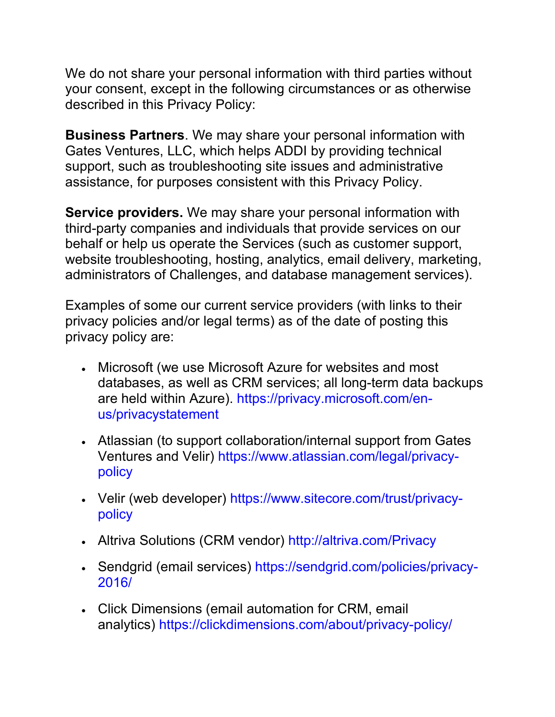We do not share your personal information with third parties without your consent, except in the following circumstances or as otherwise described in this Privacy Policy:

**Business Partners**. We may share your personal information with Gates Ventures, LLC, which helps ADDI by providing technical support, such as troubleshooting site issues and administrative assistance, for purposes consistent with this Privacy Policy.

**Service providers.** We may share your personal information with third-party companies and individuals that provide services on our behalf or help us operate the Services (such as customer support, website troubleshooting, hosting, analytics, email delivery, marketing, administrators of Challenges, and database management services).

Examples of some our current service providers (with links to their privacy policies and/or legal terms) as of the date of posting this privacy policy are:

- Microsoft (we use Microsoft Azure for websites and most databases, as well as CRM services; all long-term data backups are held within Azure). [https://privacy.microsoft.com/en](https://privacy.microsoft.com/en-us/privacystatement)[us/privacystatement](https://privacy.microsoft.com/en-us/privacystatement)
- Atlassian (to support collaboration/internal support from Gates Ventures and Velir) [https://www.atlassian.com/legal/privacy](https://www.atlassian.com/legal/privacy-policy)[policy](https://www.atlassian.com/legal/privacy-policy)
- Velir (web developer) [https://www.sitecore.com/trust/privacy](https://www.sitecore.com/trust/privacy-policy)[policy](https://www.sitecore.com/trust/privacy-policy)
- Altriva Solutions (CRM vendor) <http://altriva.com/Privacy>
- Sendgrid (email services) [https://sendgrid.com/policies/privacy-](https://sendgrid.com/policies/privacy-2016/)[2016/](https://sendgrid.com/policies/privacy-2016/)
- Click Dimensions (email automation for CRM, email analytics) <https://clickdimensions.com/about/privacy-policy/>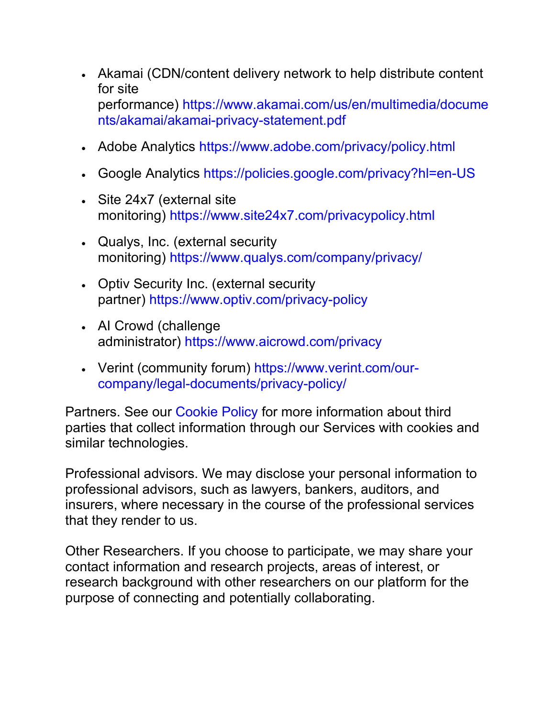- Akamai (CDN/content delivery network to help distribute content for site performance) [https://www.akamai.com/us/en/multimedia/docume](https://www.akamai.com/us/en/multimedia/documents/akamai/akamai-privacy-statement.pdf) [nts/akamai/akamai-privacy-statement.pdf](https://www.akamai.com/us/en/multimedia/documents/akamai/akamai-privacy-statement.pdf)
- Adobe Analytics <https://www.adobe.com/privacy/policy.html>
- Google Analytics <https://policies.google.com/privacy?hl=en-US>
- Site 24x7 (external site monitoring) <https://www.site24x7.com/privacypolicy.html>
- Qualys, Inc. (external security monitoring) <https://www.qualys.com/company/privacy/>
- Optiv Security Inc. (external security partner) <https://www.optiv.com/privacy-policy>
- AI Crowd (challenge administrator) <https://www.aicrowd.com/privacy>
- Verint (community forum) https://www.verint.com/ourcompany/legal-documents/privacy-policy/

Partners. See our [Cookie Policy](https://www.alzheimersdata.org/privacy#Cookie) for more information about third parties that collect information through our Services with cookies and similar technologies.

Professional advisors. We may disclose your personal information to professional advisors, such as lawyers, bankers, auditors, and insurers, where necessary in the course of the professional services that they render to us.

Other Researchers. If you choose to participate, we may share your contact information and research projects, areas of interest, or research background with other researchers on our platform for the purpose of connecting and potentially collaborating.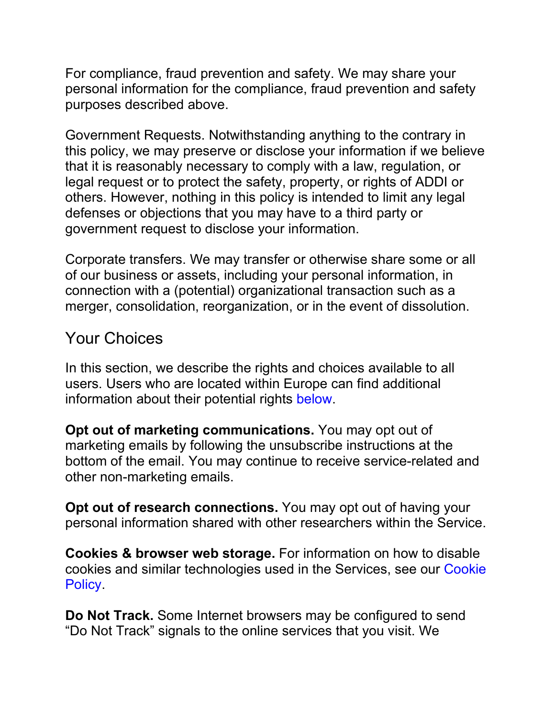For compliance, fraud prevention and safety. We may share your personal information for the compliance, fraud prevention and safety purposes described above.

Government Requests. Notwithstanding anything to the contrary in this policy, we may preserve or disclose your information if we believe that it is reasonably necessary to comply with a law, regulation, or legal request or to protect the safety, property, or rights of ADDI or others. However, nothing in this policy is intended to limit any legal defenses or objections that you may have to a third party or government request to disclose your information.

Corporate transfers. We may transfer or otherwise share some or all of our business or assets, including your personal information, in connection with a (potential) organizational transaction such as a merger, consolidation, reorganization, or in the event of dissolution.

## Your Choices

In this section, we describe the rights and choices available to all users. Users who are located within Europe can find additional information about their potential rights [below.](https://www.alzheimersdata.org/privacy#Europe)

**Opt out of marketing communications.** You may opt out of marketing emails by following the unsubscribe instructions at the bottom of the email. You may continue to receive service-related and other non-marketing emails.

**Opt out of research connections.** You may opt out of having your personal information shared with other researchers within the Service.

**Cookies & browser web storage.** For information on how to disable cookies and similar technologies used in the Services, see our [Cookie](https://www.alzheimersdata.org/privacy#Cookie)  **Policy** 

**Do Not Track.** Some Internet browsers may be configured to send "Do Not Track" signals to the online services that you visit. We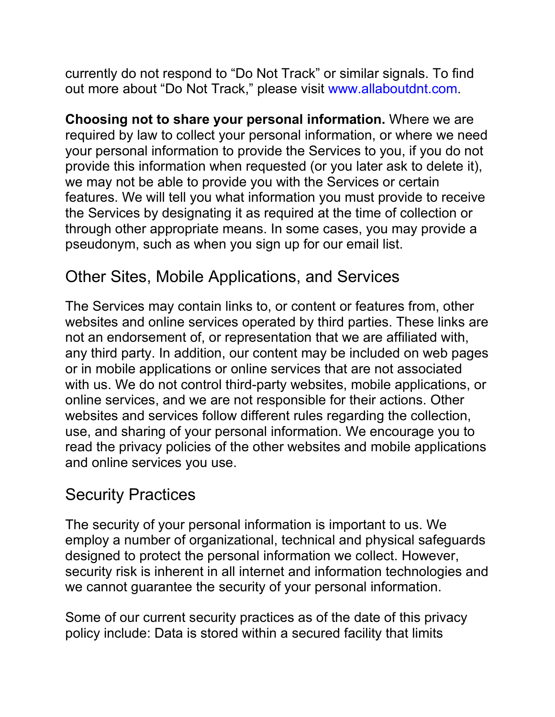currently do not respond to "Do Not Track" or similar signals. To find out more about "Do Not Track," please visit [www.allaboutdnt.com.](http://www.allaboutdnt.com/)

**Choosing not to share your personal information.** Where we are required by law to collect your personal information, or where we need your personal information to provide the Services to you, if you do not provide this information when requested (or you later ask to delete it), we may not be able to provide you with the Services or certain features. We will tell you what information you must provide to receive the Services by designating it as required at the time of collection or through other appropriate means. In some cases, you may provide a pseudonym, such as when you sign up for our email list.

## Other Sites, Mobile Applications, and Services

The Services may contain links to, or content or features from, other websites and online services operated by third parties. These links are not an endorsement of, or representation that we are affiliated with, any third party. In addition, our content may be included on web pages or in mobile applications or online services that are not associated with us. We do not control third-party websites, mobile applications, or online services, and we are not responsible for their actions. Other websites and services follow different rules regarding the collection, use, and sharing of your personal information. We encourage you to read the privacy policies of the other websites and mobile applications and online services you use.

## Security Practices

The security of your personal information is important to us. We employ a number of organizational, technical and physical safeguards designed to protect the personal information we collect. However, security risk is inherent in all internet and information technologies and we cannot guarantee the security of your personal information.

Some of our current security practices as of the date of this privacy policy include: Data is stored within a secured facility that limits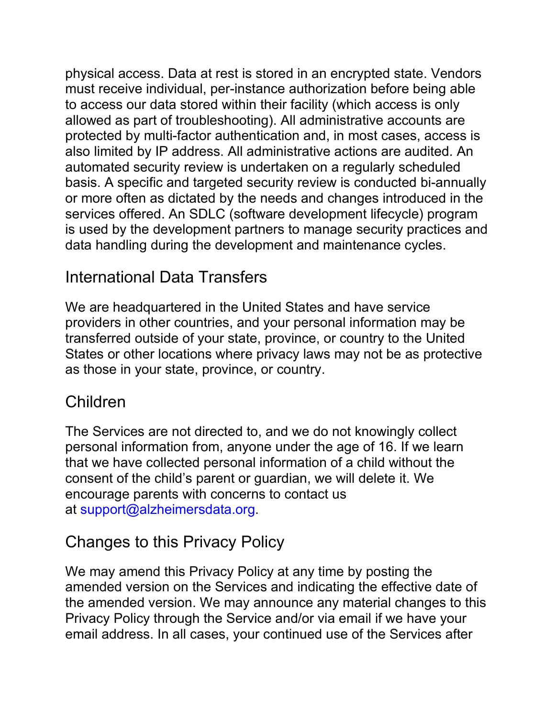physical access. Data at rest is stored in an encrypted state. Vendors must receive individual, per-instance authorization before being able to access our data stored within their facility (which access is only allowed as part of troubleshooting). All administrative accounts are protected by multi-factor authentication and, in most cases, access is also limited by IP address. All administrative actions are audited. An automated security review is undertaken on a regularly scheduled basis. A specific and targeted security review is conducted bi-annually or more often as dictated by the needs and changes introduced in the services offered. An SDLC (software development lifecycle) program is used by the development partners to manage security practices and data handling during the development and maintenance cycles.

## International Data Transfers

We are headquartered in the United States and have service providers in other countries, and your personal information may be transferred outside of your state, province, or country to the United States or other locations where privacy laws may not be as protective as those in your state, province, or country.

## Children

The Services are not directed to, and we do not knowingly collect personal information from, anyone under the age of 16. If we learn that we have collected personal information of a child without the consent of the child's parent or guardian, we will delete it. We encourage parents with concerns to contact us at [support@alzheimersdata.org.](mailto:support@alzheimersdata.org)

## Changes to this Privacy Policy

We may amend this Privacy Policy at any time by posting the amended version on the Services and indicating the effective date of the amended version. We may announce any material changes to this Privacy Policy through the Service and/or via email if we have your email address. In all cases, your continued use of the Services after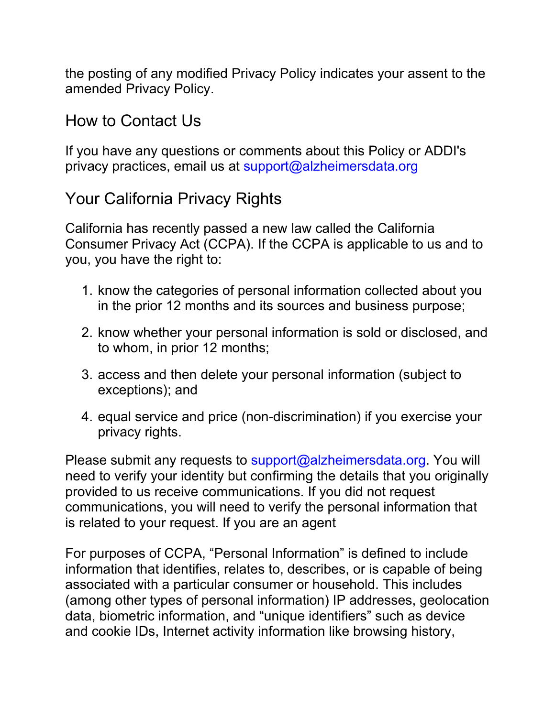the posting of any modified Privacy Policy indicates your assent to the amended Privacy Policy.

## How to Contact Us

If you have any questions or comments about this Policy or ADDI's privacy practices, email us at [support@alzheimersdata.org](mailto:support@alzheimersdata.org)

# Your California Privacy Rights

California has recently passed a new law called the California Consumer Privacy Act (CCPA). If the CCPA is applicable to us and to you, you have the right to:

- 1. know the categories of personal information collected about you in the prior 12 months and its sources and business purpose;
- 2. know whether your personal information is sold or disclosed, and to whom, in prior 12 months;
- 3. access and then delete your personal information (subject to exceptions); and
- 4. equal service and price (non-discrimination) if you exercise your privacy rights.

Please submit any requests to [support@alzheimersdata.org.](mailto:support@alzheimersdata.org) You will need to verify your identity but confirming the details that you originally provided to us receive communications. If you did not request communications, you will need to verify the personal information that is related to your request. If you are an agent

For purposes of CCPA, "Personal Information" is defined to include information that identifies, relates to, describes, or is capable of being associated with a particular consumer or household. This includes (among other types of personal information) IP addresses, geolocation data, biometric information, and "unique identifiers" such as device and cookie IDs, Internet activity information like browsing history,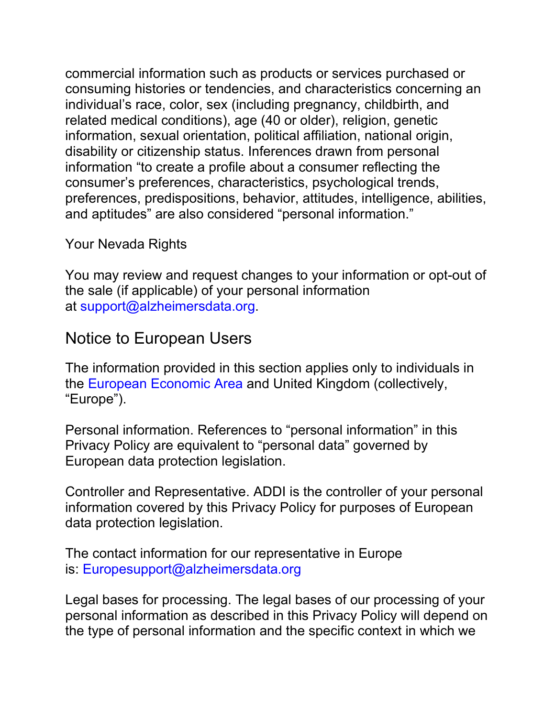commercial information such as products or services purchased or consuming histories or tendencies, and characteristics concerning an individual's race, color, sex (including pregnancy, childbirth, and related medical conditions), age (40 or older), religion, genetic information, sexual orientation, political affiliation, national origin, disability or citizenship status. Inferences drawn from personal information "to create a profile about a consumer reflecting the consumer's preferences, characteristics, psychological trends, preferences, predispositions, behavior, attitudes, intelligence, abilities, and aptitudes" are also considered "personal information."

#### Your Nevada Rights

You may review and request changes to your information or opt-out of the sale (if applicable) of your personal information at [support@alzheimersdata.org.](mailto:support@alzheimersdata.org)

## Notice to European Users

The information provided in this section applies only to individuals in the [European Economic Area](https://ec.europa.eu/eurostat/statistics-explained/index.php/Glossary:European_Economic_Area_(EEA)) and United Kingdom (collectively, "Europe").

Personal information. References to "personal information" in this Privacy Policy are equivalent to "personal data" governed by European data protection legislation.

Controller and Representative. ADDI is the controller of your personal information covered by this Privacy Policy for purposes of European data protection legislation.

The contact information for our representative in Europe is: [Europesupport@alzheimersdata.org](mailto:Europesupport@alzheimersdata.org)

Legal bases for processing. The legal bases of our processing of your personal information as described in this Privacy Policy will depend on the type of personal information and the specific context in which we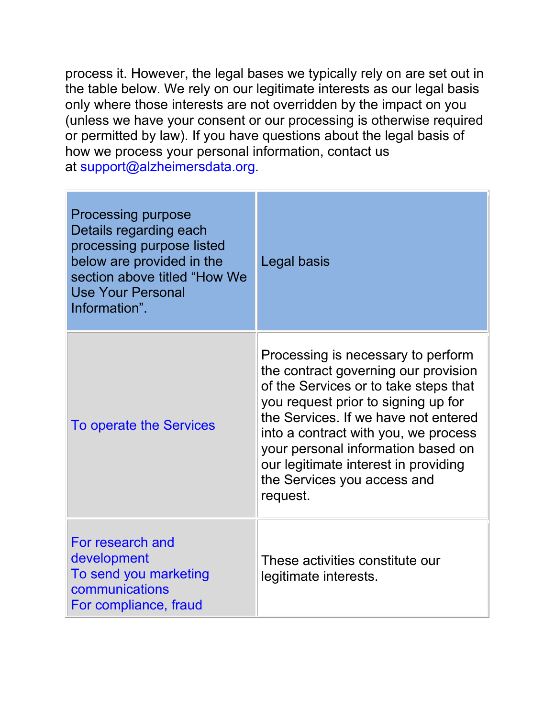process it. However, the legal bases we typically rely on are set out in the table below. We rely on our legitimate interests as our legal basis only where those interests are not overridden by the impact on you (unless we have your consent or our processing is otherwise required or permitted by law). If you have questions about the legal basis of how we process your personal information, contact us at [support@alzheimersdata.org.](mailto:support@alzheimersdata.org)

| <b>Processing purpose</b><br>Details regarding each<br>processing purpose listed<br>below are provided in the<br>section above titled "How We<br><b>Use Your Personal</b><br>Information". | Legal basis                                                                                                                                                                                                                                                                                                                                                         |
|--------------------------------------------------------------------------------------------------------------------------------------------------------------------------------------------|---------------------------------------------------------------------------------------------------------------------------------------------------------------------------------------------------------------------------------------------------------------------------------------------------------------------------------------------------------------------|
| <b>To operate the Services</b>                                                                                                                                                             | Processing is necessary to perform<br>the contract governing our provision<br>of the Services or to take steps that<br>you request prior to signing up for<br>the Services. If we have not entered<br>into a contract with you, we process<br>your personal information based on<br>our legitimate interest in providing<br>the Services you access and<br>request. |
| For research and<br>development<br>To send you marketing<br>communications<br>For compliance, fraud                                                                                        | These activities constitute our<br>legitimate interests.                                                                                                                                                                                                                                                                                                            |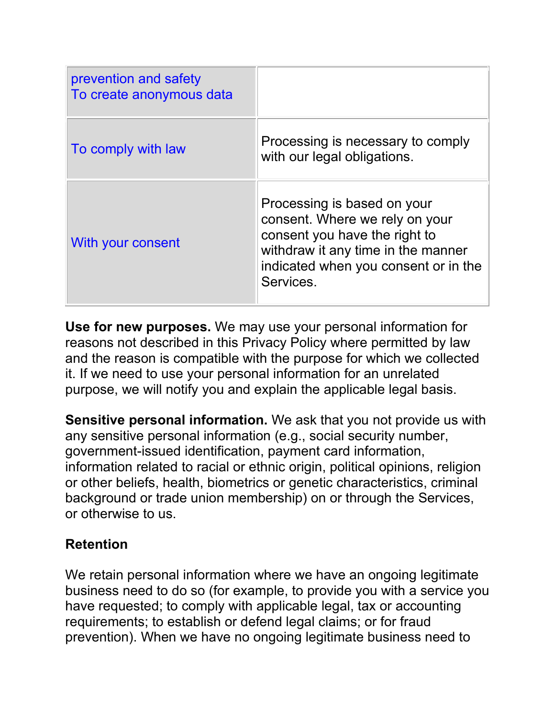| prevention and safety<br>To create anonymous data |                                                                                                                                                                                           |
|---------------------------------------------------|-------------------------------------------------------------------------------------------------------------------------------------------------------------------------------------------|
| To comply with law                                | Processing is necessary to comply<br>with our legal obligations.                                                                                                                          |
| With your consent                                 | Processing is based on your<br>consent. Where we rely on your<br>consent you have the right to<br>withdraw it any time in the manner<br>indicated when you consent or in the<br>Services. |

**Use for new purposes.** We may use your personal information for reasons not described in this Privacy Policy where permitted by law and the reason is compatible with the purpose for which we collected it. If we need to use your personal information for an unrelated purpose, we will notify you and explain the applicable legal basis.

**Sensitive personal information.** We ask that you not provide us with any sensitive personal information (e.g., social security number, government-issued identification, payment card information, information related to racial or ethnic origin, political opinions, religion or other beliefs, health, biometrics or genetic characteristics, criminal background or trade union membership) on or through the Services, or otherwise to us.

#### **Retention**

We retain personal information where we have an ongoing legitimate business need to do so (for example, to provide you with a service you have requested; to comply with applicable legal, tax or accounting requirements; to establish or defend legal claims; or for fraud prevention). When we have no ongoing legitimate business need to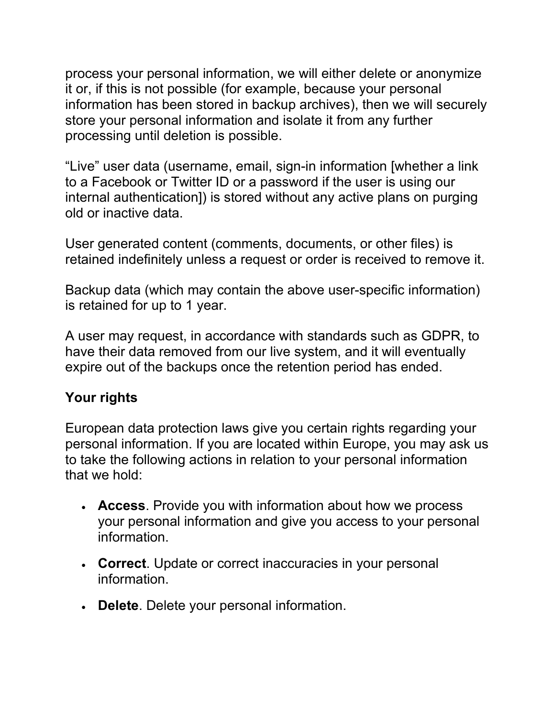process your personal information, we will either delete or anonymize it or, if this is not possible (for example, because your personal information has been stored in backup archives), then we will securely store your personal information and isolate it from any further processing until deletion is possible.

"Live" user data (username, email, sign-in information [whether a link to a Facebook or Twitter ID or a password if the user is using our internal authentication]) is stored without any active plans on purging old or inactive data.

User generated content (comments, documents, or other files) is retained indefinitely unless a request or order is received to remove it.

Backup data (which may contain the above user-specific information) is retained for up to 1 year.

A user may request, in accordance with standards such as GDPR, to have their data removed from our live system, and it will eventually expire out of the backups once the retention period has ended.

#### **Your rights**

European data protection laws give you certain rights regarding your personal information. If you are located within Europe, you may ask us to take the following actions in relation to your personal information that we hold:

- **Access**. Provide you with information about how we process your personal information and give you access to your personal information.
- **Correct**. Update or correct inaccuracies in your personal information.
- **Delete**. Delete your personal information.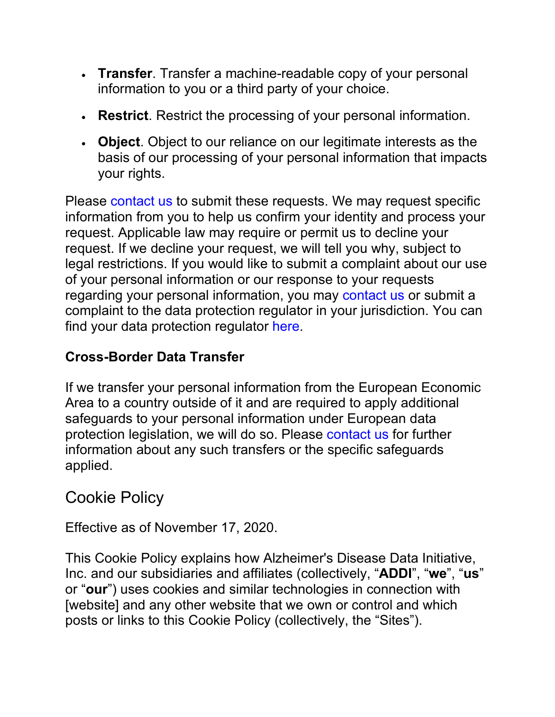- **Transfer**. Transfer a machine-readable copy of your personal information to you or a third party of your choice.
- **Restrict**. Restrict the processing of your personal information.
- **Object**. Object to our reliance on our legitimate interests as the basis of our processing of your personal information that impacts your rights.

Please [contact us](https://www.alzheimersdata.org/privacy#Contact) to submit these requests. We may request specific information from you to help us confirm your identity and process your request. Applicable law may require or permit us to decline your request. If we decline your request, we will tell you why, subject to legal restrictions. If you would like to submit a complaint about our use of your personal information or our response to your requests regarding your personal information, you may [contact us](https://www.alzheimersdata.org/privacy#Contact) or submit a complaint to the data protection regulator in your jurisdiction. You can find your data protection regulator [here.](https://edpb.europa.eu/about-edpb/board/members_en)

## **Cross-Border Data Transfer**

If we transfer your personal information from the European Economic Area to a country outside of it and are required to apply additional safeguards to your personal information under European data protection legislation, we will do so. Please [contact us](https://www.alzheimersdata.org/privacy#Contact) for further information about any such transfers or the specific safeguards applied.

# Cookie Policy

Effective as of November 17, 2020.

This Cookie Policy explains how Alzheimer's Disease Data Initiative, Inc. and our subsidiaries and affiliates (collectively, "**ADDI**", "**we**", "**us**" or "**our**") uses cookies and similar technologies in connection with [website] and any other website that we own or control and which posts or links to this Cookie Policy (collectively, the "Sites").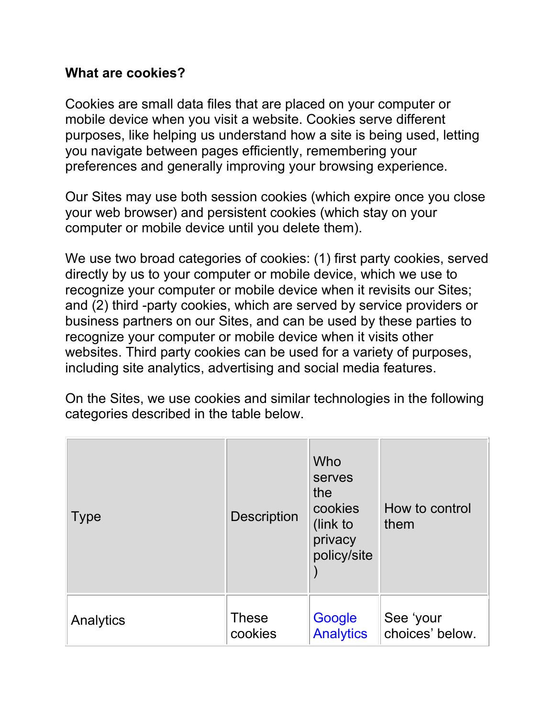#### **What are cookies?**

Cookies are small data files that are placed on your computer or mobile device when you visit a website. Cookies serve different purposes, like helping us understand how a site is being used, letting you navigate between pages efficiently, remembering your preferences and generally improving your browsing experience.

Our Sites may use both session cookies (which expire once you close your web browser) and persistent cookies (which stay on your computer or mobile device until you delete them).

We use two broad categories of cookies: (1) first party cookies, served directly by us to your computer or mobile device, which we use to recognize your computer or mobile device when it revisits our Sites; and (2) third -party cookies, which are served by service providers or business partners on our Sites, and can be used by these parties to recognize your computer or mobile device when it visits other websites. Third party cookies can be used for a variety of purposes, including site analytics, advertising and social media features.

On the Sites, we use cookies and similar technologies in the following categories described in the table below.

| <b>Type</b> | <b>Description</b> | Who<br>serves<br>the<br>cookies<br>(link to<br>privacy<br>policy/site | How to control<br>them |
|-------------|--------------------|-----------------------------------------------------------------------|------------------------|
| Analytics   | <b>These</b>       | Google                                                                | See 'your              |
|             | cookies            | <b>Analytics</b>                                                      | choices' below.        |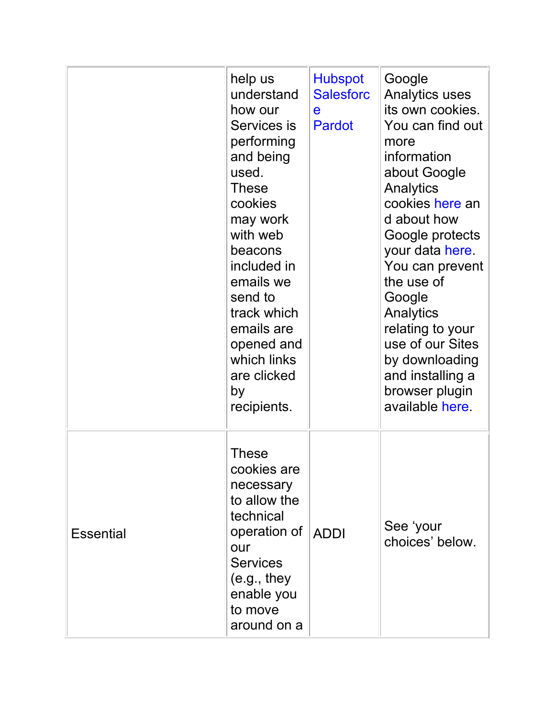|                  | help us<br>understand<br>how our<br>Services is<br>performing<br>and being<br>used.<br><b>These</b><br>cookies<br>may work<br>with web<br>beacons<br>included in<br>emails we<br>send to<br>track which<br>emails are<br>opened and<br>which links<br>are clicked<br>by<br>recipients. | <b>Hubspot</b><br><b>Salesforc</b><br>e<br><b>Pardot</b> | Google<br><b>Analytics uses</b><br>its own cookies.<br>You can find out<br>more<br>information<br>about Google<br>Analytics<br>cookies here an<br>d about how<br>Google protects<br>your data here.<br>You can prevent<br>the use of<br>Google<br>Analytics<br>relating to your<br>use of our Sites<br>by downloading<br>and installing a<br>browser plugin<br>available here. |
|------------------|----------------------------------------------------------------------------------------------------------------------------------------------------------------------------------------------------------------------------------------------------------------------------------------|----------------------------------------------------------|--------------------------------------------------------------------------------------------------------------------------------------------------------------------------------------------------------------------------------------------------------------------------------------------------------------------------------------------------------------------------------|
| <b>Essential</b> | <b>These</b><br>cookies are<br>necessary<br>to allow the<br>technical<br>operation of<br>our<br><b>Services</b><br>(e.g., they<br>enable you<br>to move<br>around on a                                                                                                                 | <b>ADDI</b>                                              | See 'your<br>choices' below.                                                                                                                                                                                                                                                                                                                                                   |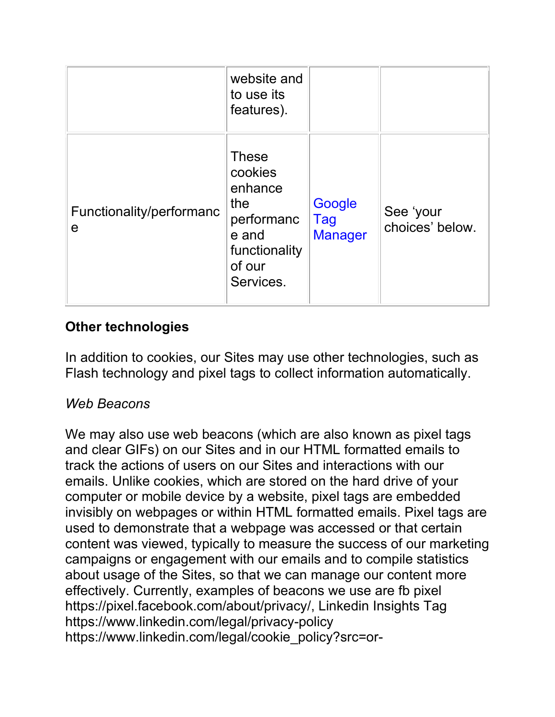|                                         | website and<br>to use its<br>features).                                                                  |                                 |                              |
|-----------------------------------------|----------------------------------------------------------------------------------------------------------|---------------------------------|------------------------------|
| Functionality/performanc<br>$\mathbf e$ | <b>These</b><br>cookies<br>enhance<br>the<br>performanc<br>e and<br>functionality<br>of our<br>Services. | Google<br>Tag<br><b>Manager</b> | See 'your<br>choices' below. |

#### **Other technologies**

In addition to cookies, our Sites may use other technologies, such as Flash technology and pixel tags to collect information automatically.

#### *Web Beacons*

We may also use web beacons (which are also known as pixel tags and clear GIFs) on our Sites and in our HTML formatted emails to track the actions of users on our Sites and interactions with our emails. Unlike cookies, which are stored on the hard drive of your computer or mobile device by a website, pixel tags are embedded invisibly on webpages or within HTML formatted emails. Pixel tags are used to demonstrate that a webpage was accessed or that certain content was viewed, typically to measure the success of our marketing campaigns or engagement with our emails and to compile statistics about usage of the Sites, so that we can manage our content more effectively. Currently, examples of beacons we use are fb pixel https://pixel.facebook.com/about/privacy/, Linkedin Insights Tag https://www.linkedin.com/legal/privacy-policy https://www.linkedin.com/legal/cookie\_policy?src=or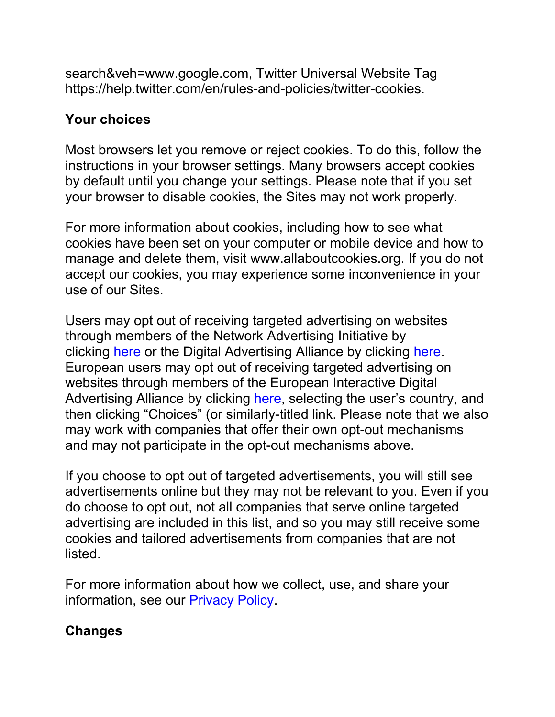search&veh=www.google.com, Twitter Universal Website Tag https://help.twitter.com/en/rules-and-policies/twitter-cookies.

#### **Your choices**

Most browsers let you remove or reject cookies. To do this, follow the instructions in your browser settings. Many browsers accept cookies by default until you change your settings. Please note that if you set your browser to disable cookies, the Sites may not work properly.

For more information about cookies, including how to see what cookies have been set on your computer or mobile device and how to manage and delete them, visit www.allaboutcookies.org. If you do not accept our cookies, you may experience some inconvenience in your use of our Sites.

Users may opt out of receiving targeted advertising on websites through members of the Network Advertising Initiative by clicking [here](http://www.networkadvertising.org/choices) or the Digital Advertising Alliance by clicking [here.](http://www.aboutads.info/choices) European users may opt out of receiving targeted advertising on websites through members of the European Interactive Digital Advertising Alliance by clicking [here,](https://www.youronlinechoices.eu/) selecting the user's country, and then clicking "Choices" (or similarly-titled link. Please note that we also may work with companies that offer their own opt-out mechanisms and may not participate in the opt-out mechanisms above.

If you choose to opt out of targeted advertisements, you will still see advertisements online but they may not be relevant to you. Even if you do choose to opt out, not all companies that serve online targeted advertising are included in this list, and so you may still receive some cookies and tailored advertisements from companies that are not listed.

For more information about how we collect, use, and share your information, see our [Privacy Policy.](https://www.alzheimersdata.org/privacy)

#### **Changes**